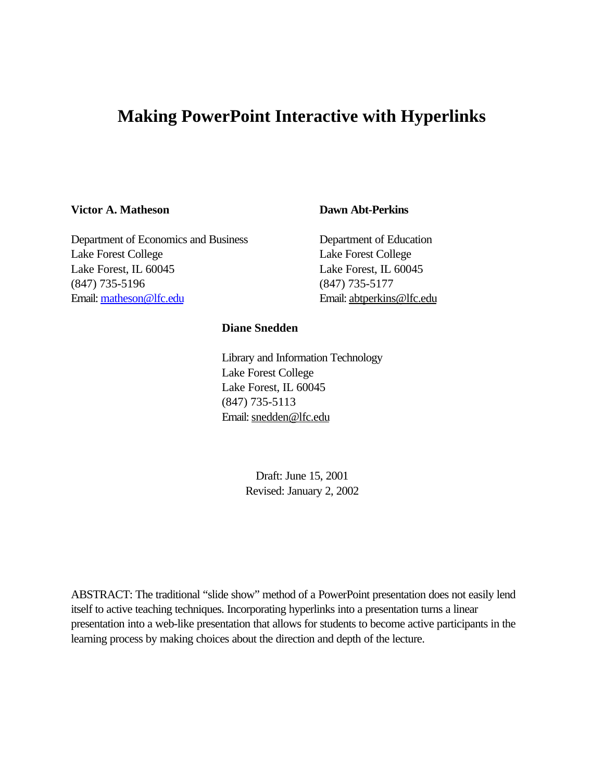# **Making PowerPoint Interactive with Hyperlinks**

### **Victor A. Matheson Dawn Abt-Perkins**

Department of Economics and Business Department of Education Lake Forest College Lake Forest College Lake Forest, IL 60045 Lake Forest, IL 60045 (847) 735-5196 (847) 735-5177 Email: matheson@lfc.edu Email: abtperkins@lfc.edu

## **Diane Snedden**

Library and Information Technology Lake Forest College Lake Forest, IL 60045 (847) 735-5113 Email: snedden@lfc.edu

> Draft: June 15, 2001 Revised: January 2, 2002

ABSTRACT: The traditional "slide show" method of a PowerPoint presentation does not easily lend itself to active teaching techniques. Incorporating hyperlinks into a presentation turns a linear presentation into a web-like presentation that allows for students to become active participants in the learning process by making choices about the direction and depth of the lecture.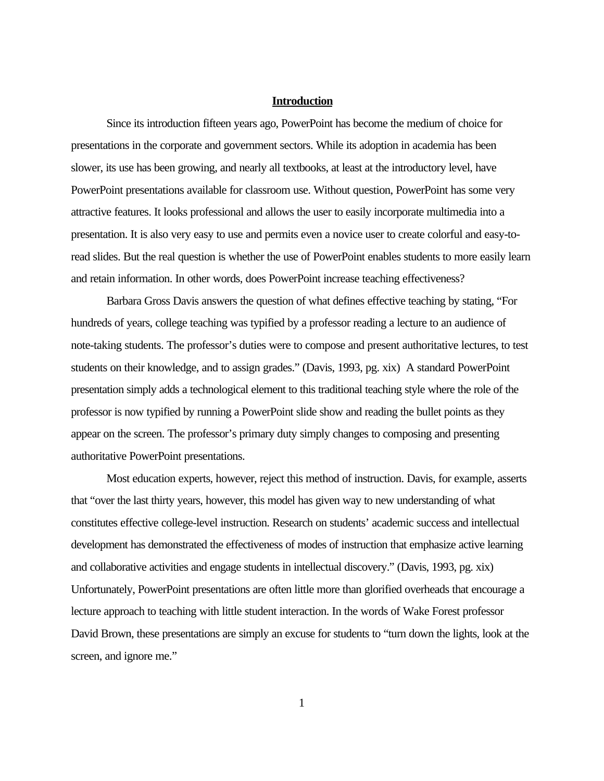#### **Introduction**

Since its introduction fifteen years ago, PowerPoint has become the medium of choice for presentations in the corporate and government sectors. While its adoption in academia has been slower, its use has been growing, and nearly all textbooks, at least at the introductory level, have PowerPoint presentations available for classroom use. Without question, PowerPoint has some very attractive features. It looks professional and allows the user to easily incorporate multimedia into a presentation. It is also very easy to use and permits even a novice user to create colorful and easy-toread slides. But the real question is whether the use of PowerPoint enables students to more easily learn and retain information. In other words, does PowerPoint increase teaching effectiveness?

Barbara Gross Davis answers the question of what defines effective teaching by stating, "For hundreds of years, college teaching was typified by a professor reading a lecture to an audience of note-taking students. The professor's duties were to compose and present authoritative lectures, to test students on their knowledge, and to assign grades." (Davis, 1993, pg. xix) A standard PowerPoint presentation simply adds a technological element to this traditional teaching style where the role of the professor is now typified by running a PowerPoint slide show and reading the bullet points as they appear on the screen. The professor's primary duty simply changes to composing and presenting authoritative PowerPoint presentations.

Most education experts, however, reject this method of instruction. Davis, for example, asserts that "over the last thirty years, however, this model has given way to new understanding of what constitutes effective college-level instruction. Research on students' academic success and intellectual development has demonstrated the effectiveness of modes of instruction that emphasize active learning and collaborative activities and engage students in intellectual discovery." (Davis, 1993, pg. xix) Unfortunately, PowerPoint presentations are often little more than glorified overheads that encourage a lecture approach to teaching with little student interaction. In the words of Wake Forest professor David Brown, these presentations are simply an excuse for students to "turn down the lights, look at the screen, and ignore me."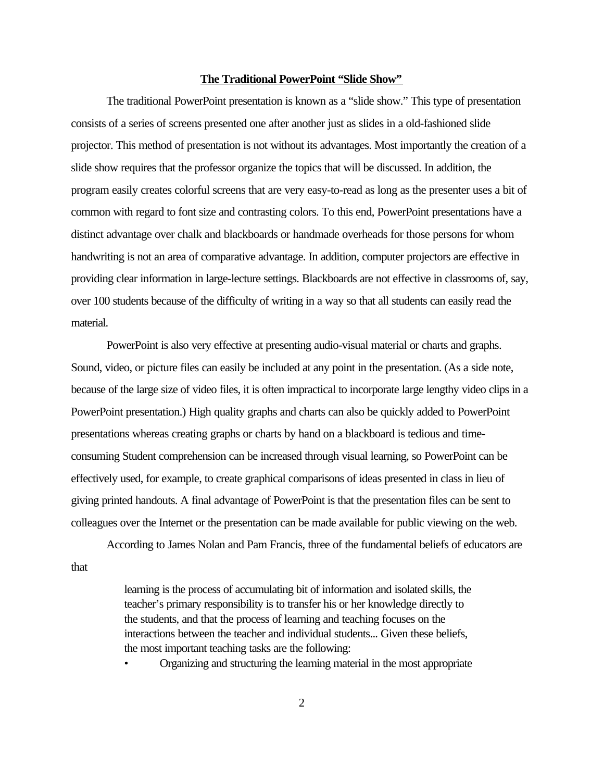### **The Traditional PowerPoint "Slide Show"**

The traditional PowerPoint presentation is known as a "slide show." This type of presentation consists of a series of screens presented one after another just as slides in a old-fashioned slide projector. This method of presentation is not without its advantages. Most importantly the creation of a slide show requires that the professor organize the topics that will be discussed. In addition, the program easily creates colorful screens that are very easy-to-read as long as the presenter uses a bit of common with regard to font size and contrasting colors. To this end, PowerPoint presentations have a distinct advantage over chalk and blackboards or handmade overheads for those persons for whom handwriting is not an area of comparative advantage. In addition, computer projectors are effective in providing clear information in large-lecture settings. Blackboards are not effective in classrooms of, say, over 100 students because of the difficulty of writing in a way so that all students can easily read the material.

PowerPoint is also very effective at presenting audio-visual material or charts and graphs. Sound, video, or picture files can easily be included at any point in the presentation. (As a side note, because of the large size of video files, it is often impractical to incorporate large lengthy video clips in a PowerPoint presentation.) High quality graphs and charts can also be quickly added to PowerPoint presentations whereas creating graphs or charts by hand on a blackboard is tedious and timeconsuming Student comprehension can be increased through visual learning, so PowerPoint can be effectively used, for example, to create graphical comparisons of ideas presented in class in lieu of giving printed handouts. A final advantage of PowerPoint is that the presentation files can be sent to colleagues over the Internet or the presentation can be made available for public viewing on the web.

According to James Nolan and Pam Francis, three of the fundamental beliefs of educators are that

> learning is the process of accumulating bit of information and isolated skills, the teacher's primary responsibility is to transfer his or her knowledge directly to the students, and that the process of learning and teaching focuses on the interactions between the teacher and individual students... Given these beliefs, the most important teaching tasks are the following:

> • Organizing and structuring the learning material in the most appropriate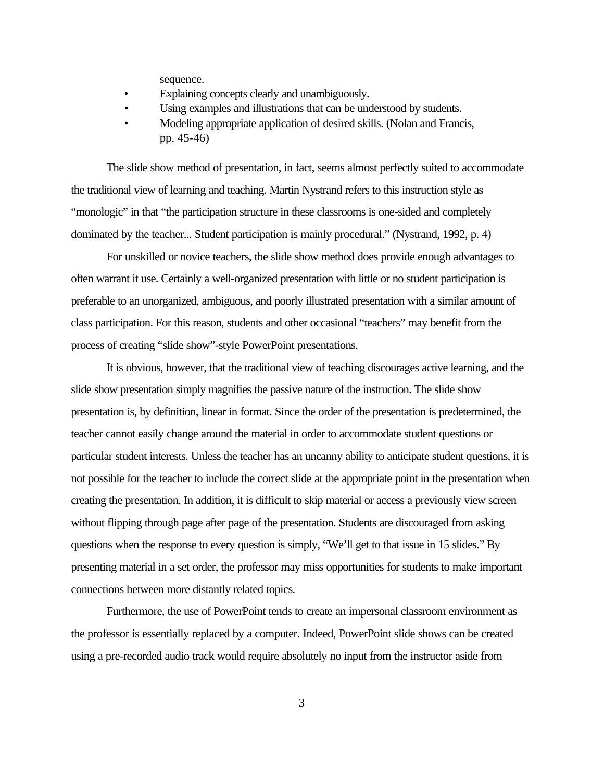sequence.

- Explaining concepts clearly and unambiguously.
- Using examples and illustrations that can be understood by students.
- Modeling appropriate application of desired skills. (Nolan and Francis, pp. 45-46)

The slide show method of presentation, in fact, seems almost perfectly suited to accommodate the traditional view of learning and teaching. Martin Nystrand refers to this instruction style as "monologic" in that "the participation structure in these classrooms is one-sided and completely dominated by the teacher... Student participation is mainly procedural." (Nystrand, 1992, p. 4)

For unskilled or novice teachers, the slide show method does provide enough advantages to often warrant it use. Certainly a well-organized presentation with little or no student participation is preferable to an unorganized, ambiguous, and poorly illustrated presentation with a similar amount of class participation. For this reason, students and other occasional "teachers" may benefit from the process of creating "slide show"-style PowerPoint presentations.

It is obvious, however, that the traditional view of teaching discourages active learning, and the slide show presentation simply magnifies the passive nature of the instruction. The slide show presentation is, by definition, linear in format. Since the order of the presentation is predetermined, the teacher cannot easily change around the material in order to accommodate student questions or particular student interests. Unless the teacher has an uncanny ability to anticipate student questions, it is not possible for the teacher to include the correct slide at the appropriate point in the presentation when creating the presentation. In addition, it is difficult to skip material or access a previously view screen without flipping through page after page of the presentation. Students are discouraged from asking questions when the response to every question is simply, "We'll get to that issue in 15 slides." By presenting material in a set order, the professor may miss opportunities for students to make important connections between more distantly related topics.

Furthermore, the use of PowerPoint tends to create an impersonal classroom environment as the professor is essentially replaced by a computer. Indeed, PowerPoint slide shows can be created using a pre-recorded audio track would require absolutely no input from the instructor aside from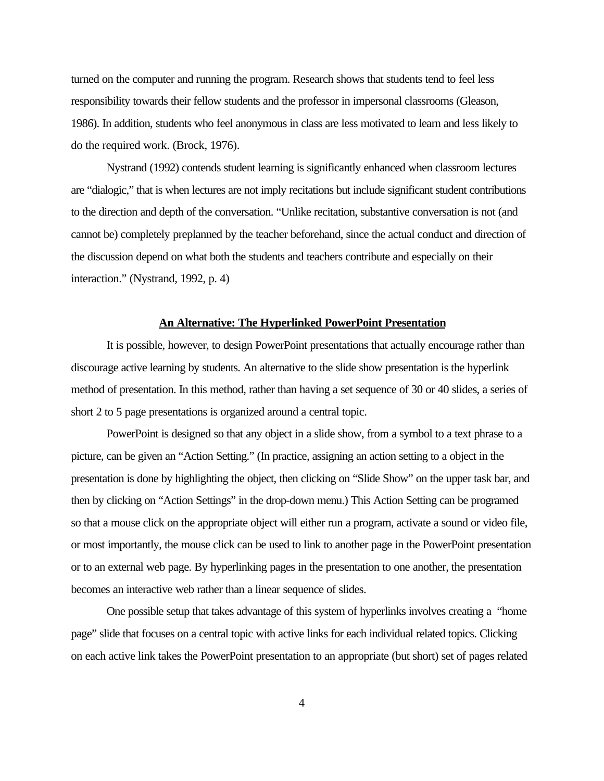turned on the computer and running the program. Research shows that students tend to feel less responsibility towards their fellow students and the professor in impersonal classrooms (Gleason, 1986). In addition, students who feel anonymous in class are less motivated to learn and less likely to do the required work. (Brock, 1976).

Nystrand (1992) contends student learning is significantly enhanced when classroom lectures are "dialogic," that is when lectures are not imply recitations but include significant student contributions to the direction and depth of the conversation. "Unlike recitation, substantive conversation is not (and cannot be) completely preplanned by the teacher beforehand, since the actual conduct and direction of the discussion depend on what both the students and teachers contribute and especially on their interaction." (Nystrand, 1992, p. 4)

#### **An Alternative: The Hyperlinked PowerPoint Presentation**

It is possible, however, to design PowerPoint presentations that actually encourage rather than discourage active learning by students. An alternative to the slide show presentation is the hyperlink method of presentation. In this method, rather than having a set sequence of 30 or 40 slides, a series of short 2 to 5 page presentations is organized around a central topic.

PowerPoint is designed so that any object in a slide show, from a symbol to a text phrase to a picture, can be given an "Action Setting." (In practice, assigning an action setting to a object in the presentation is done by highlighting the object, then clicking on "Slide Show" on the upper task bar, and then by clicking on "Action Settings" in the drop-down menu.) This Action Setting can be programed so that a mouse click on the appropriate object will either run a program, activate a sound or video file, or most importantly, the mouse click can be used to link to another page in the PowerPoint presentation or to an external web page. By hyperlinking pages in the presentation to one another, the presentation becomes an interactive web rather than a linear sequence of slides.

One possible setup that takes advantage of this system of hyperlinks involves creating a "home page" slide that focuses on a central topic with active links for each individual related topics. Clicking on each active link takes the PowerPoint presentation to an appropriate (but short) set of pages related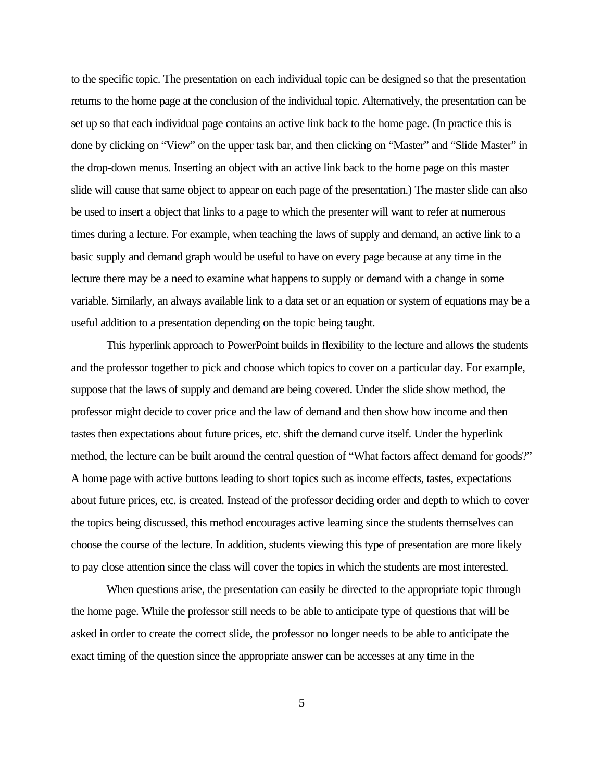to the specific topic. The presentation on each individual topic can be designed so that the presentation returns to the home page at the conclusion of the individual topic. Alternatively, the presentation can be set up so that each individual page contains an active link back to the home page. (In practice this is done by clicking on "View" on the upper task bar, and then clicking on "Master" and "Slide Master" in the drop-down menus. Inserting an object with an active link back to the home page on this master slide will cause that same object to appear on each page of the presentation.) The master slide can also be used to insert a object that links to a page to which the presenter will want to refer at numerous times during a lecture. For example, when teaching the laws of supply and demand, an active link to a basic supply and demand graph would be useful to have on every page because at any time in the lecture there may be a need to examine what happens to supply or demand with a change in some variable. Similarly, an always available link to a data set or an equation or system of equations may be a useful addition to a presentation depending on the topic being taught.

This hyperlink approach to PowerPoint builds in flexibility to the lecture and allows the students and the professor together to pick and choose which topics to cover on a particular day. For example, suppose that the laws of supply and demand are being covered. Under the slide show method, the professor might decide to cover price and the law of demand and then show how income and then tastes then expectations about future prices, etc. shift the demand curve itself. Under the hyperlink method, the lecture can be built around the central question of "What factors affect demand for goods?" A home page with active buttons leading to short topics such as income effects, tastes, expectations about future prices, etc. is created. Instead of the professor deciding order and depth to which to cover the topics being discussed, this method encourages active learning since the students themselves can choose the course of the lecture. In addition, students viewing this type of presentation are more likely to pay close attention since the class will cover the topics in which the students are most interested.

When questions arise, the presentation can easily be directed to the appropriate topic through the home page. While the professor still needs to be able to anticipate type of questions that will be asked in order to create the correct slide, the professor no longer needs to be able to anticipate the exact timing of the question since the appropriate answer can be accesses at any time in the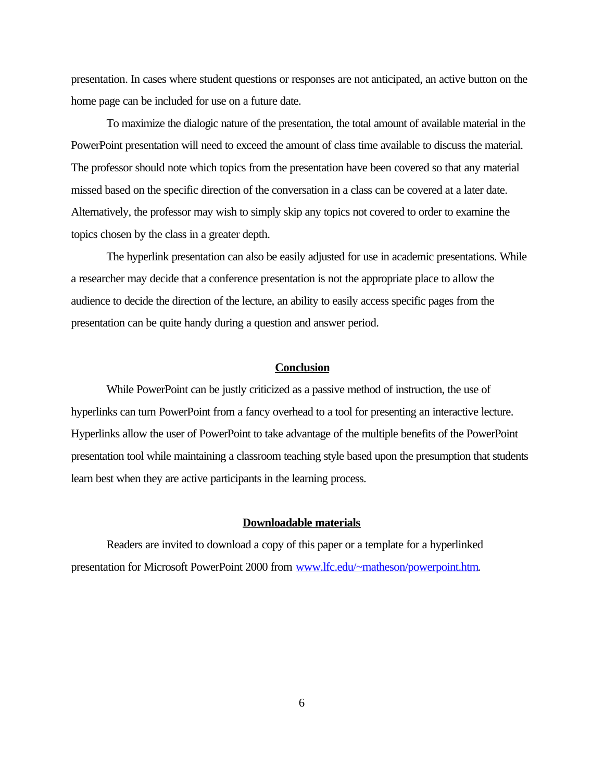presentation. In cases where student questions or responses are not anticipated, an active button on the home page can be included for use on a future date.

To maximize the dialogic nature of the presentation, the total amount of available material in the PowerPoint presentation will need to exceed the amount of class time available to discuss the material. The professor should note which topics from the presentation have been covered so that any material missed based on the specific direction of the conversation in a class can be covered at a later date. Alternatively, the professor may wish to simply skip any topics not covered to order to examine the topics chosen by the class in a greater depth.

The hyperlink presentation can also be easily adjusted for use in academic presentations. While a researcher may decide that a conference presentation is not the appropriate place to allow the audience to decide the direction of the lecture, an ability to easily access specific pages from the presentation can be quite handy during a question and answer period.

#### **Conclusion**

While PowerPoint can be justly criticized as a passive method of instruction, the use of hyperlinks can turn PowerPoint from a fancy overhead to a tool for presenting an interactive lecture. Hyperlinks allow the user of PowerPoint to take advantage of the multiple benefits of the PowerPoint presentation tool while maintaining a classroom teaching style based upon the presumption that students learn best when they are active participants in the learning process.

## **Downloadable materials**

Readers are invited to download a copy of this paper or a template for a hyperlinked presentation for Microsoft PowerPoint 2000 from www.lfc.edu/~matheson/powerpoint.htm.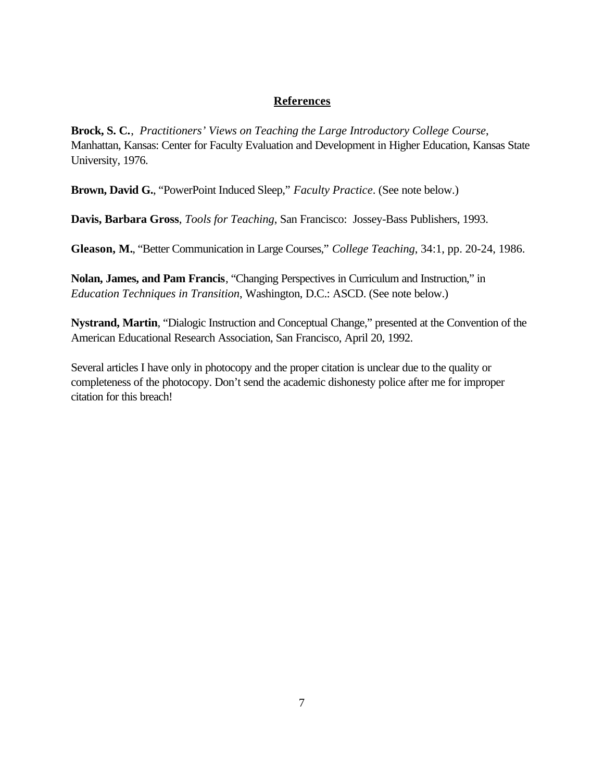## **References**

**Brock, S. C.**, *Practitioners' Views on Teaching the Large Introductory College Course*, Manhattan, Kansas: Center for Faculty Evaluation and Development in Higher Education, Kansas State University, 1976.

**Brown, David G.**, "PowerPoint Induced Sleep," *Faculty Practice*. (See note below.)

**Davis, Barbara Gross**, *Tools for Teaching*, San Francisco: Jossey-Bass Publishers, 1993.

**Gleason, M.**, "Better Communication in Large Courses," *College Teaching*, 34:1, pp. 20-24, 1986.

**Nolan, James, and Pam Francis**, "Changing Perspectives in Curriculum and Instruction," in *Education Techniques in Transition*, Washington, D.C.: ASCD. (See note below.)

**Nystrand, Martin**, "Dialogic Instruction and Conceptual Change," presented at the Convention of the American Educational Research Association, San Francisco, April 20, 1992.

Several articles I have only in photocopy and the proper citation is unclear due to the quality or completeness of the photocopy. Don't send the academic dishonesty police after me for improper citation for this breach!